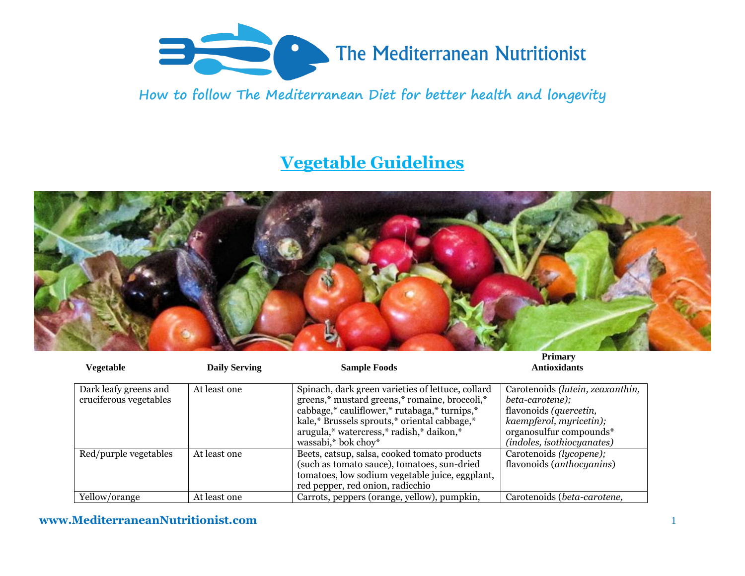

**How to follow The Mediterranean Diet for better health and longevity**

## **Vegetable Guidelines**



| Vegetable                                       | <b>Daily Serving</b> | <b>Sample Foods</b>                                                                                                                                                                                                                                                   | a annai v<br><b>Antioxidants</b>                                                                                                                                  |
|-------------------------------------------------|----------------------|-----------------------------------------------------------------------------------------------------------------------------------------------------------------------------------------------------------------------------------------------------------------------|-------------------------------------------------------------------------------------------------------------------------------------------------------------------|
| Dark leafy greens and<br>cruciferous vegetables | At least one         | Spinach, dark green varieties of lettuce, collard<br>greens,* mustard greens,* romaine, broccoli,*<br>cabbage,* cauliflower,* rutabaga,* turnips,*<br>kale,* Brussels sprouts,* oriental cabbage,*<br>arugula,* watercress,* radish,* daikon,*<br>wassabi,* bok choy* | Carotenoids (lutein, zeaxanthin,<br>beta-carotene);<br>flavonoids (quercetin,<br>kaempferol, myricetin);<br>organosulfur compounds*<br>(indoles, isothiocyanates) |
| Red/purple vegetables                           | At least one         | Beets, catsup, salsa, cooked tomato products<br>(such as tomato sauce), tomatoes, sun-dried<br>tomatoes, low sodium vegetable juice, eggplant,<br>red pepper, red onion, radicchio                                                                                    | Carotenoids (lycopene);<br>flavonoids ( <i>anthocyanins</i> )                                                                                                     |
| Yellow/orange                                   | At least one         | Carrots, peppers (orange, yellow), pumpkin,                                                                                                                                                                                                                           | Carotenoids (beta-carotene,                                                                                                                                       |

## **www.MediterraneanNutritionist.com** 1